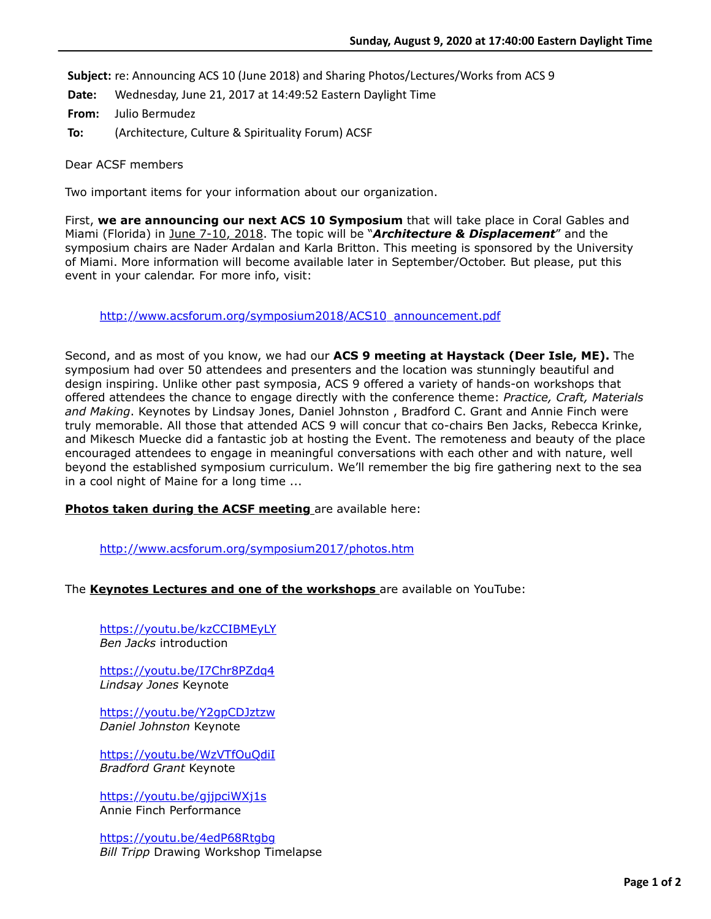**Subject:** re: Announcing ACS 10 (June 2018) and Sharing Photos/Lectures/Works from ACS 9

**Date:** Wednesday, June 21, 2017 at 14:49:52 Eastern Daylight Time

**From:** Julio Bermudez

**To:** (Architecture, Culture & Spirituality Forum) ACSF

Dear ACSF members

Two important items for your information about our organization.

First, **we are announcing our next ACS 10 Symposium** that will take place in Coral Gables and Miami (Florida) in June 7-10, 2018. The topic will be "*Architecture & Displacement*" and the symposium chairs are Nader Ardalan and Karla Britton. This meeting is sponsored by the University of Miami. More information will become available later in September/October. But please, put this event in your calendar. For more info, visit:

[http://www.acsforum.org/symposium2018/ACS10\\_announcement.pdf](http://www.acsforum.org/symposium2018/ACS10_announcement.pdf)

Second, and as most of you know, we had our **ACS 9 meeting at Haystack (Deer Isle, ME).** The symposium had over 50 attendees and presenters and the location was stunningly beautiful and design inspiring. Unlike other past symposia, ACS 9 offered a variety of hands-on workshops that offered attendees the chance to engage directly with the conference theme: *Practice, Craft, Materials and Making*. Keynotes by Lindsay Jones, Daniel Johnston , Bradford C. Grant and Annie Finch were truly memorable. All those that attended ACS 9 will concur that co-chairs Ben Jacks, Rebecca Krinke, and Mikesch Muecke did a fantastic job at hosting the Event. The remoteness and beauty of the place encouraged attendees to engage in meaningful conversations with each other and with nature, well beyond the established symposium curriculum. We'll remember the big fire gathering next to the sea in a cool night of Maine for a long time ...

**Photos taken during the ACSF meeting** are available here:

<http://www.acsforum.org/symposium2017/photos.htm>

The **Keynotes Lectures and one of the workshops** are available on YouTube:

<https://youtu.be/kzCCIBMEyLY> *Ben Jacks* introduction

<https://youtu.be/I7Chr8PZdq4> *Lindsay Jones* Keynote

<https://youtu.be/Y2gpCDJztzw> *Daniel Johnston* Keynote

<https://youtu.be/WzVTfOuQdiI> *Bradford Grant* Keynote

<https://youtu.be/gjjpciWXj1s> Annie Finch Performance

<https://youtu.be/4edP68Rtgbg> *Bill Tripp* Drawing Workshop Timelapse